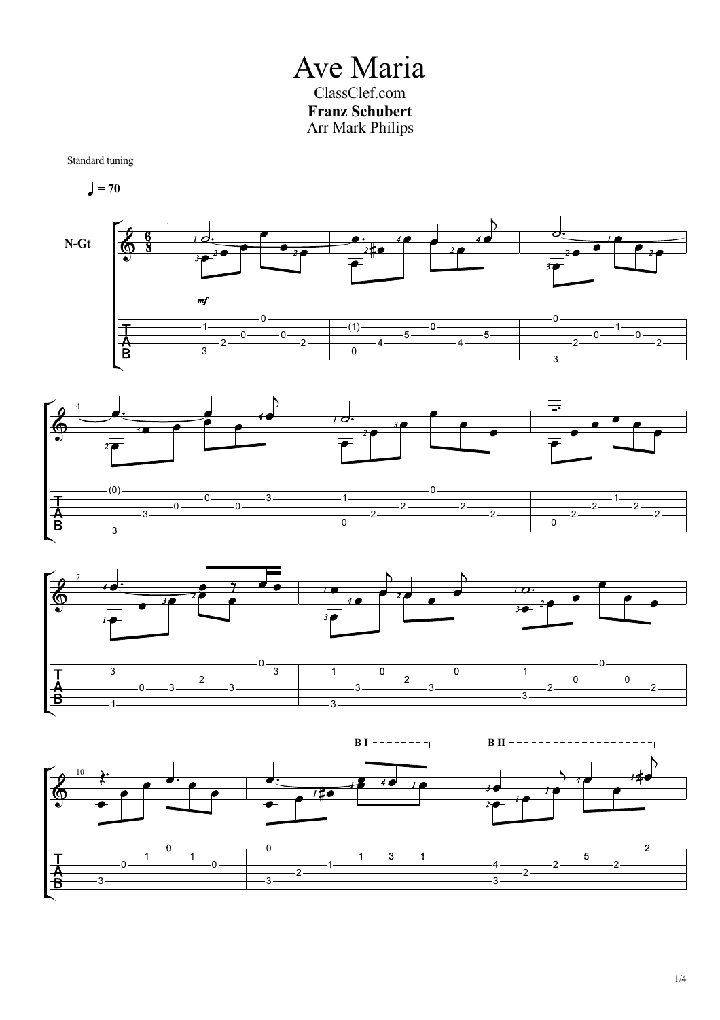Ave Maria ClassClef.com **Franz Schubert** Arr Mark Philips

Standard tuning

**= 70 N-Gt** (1) 





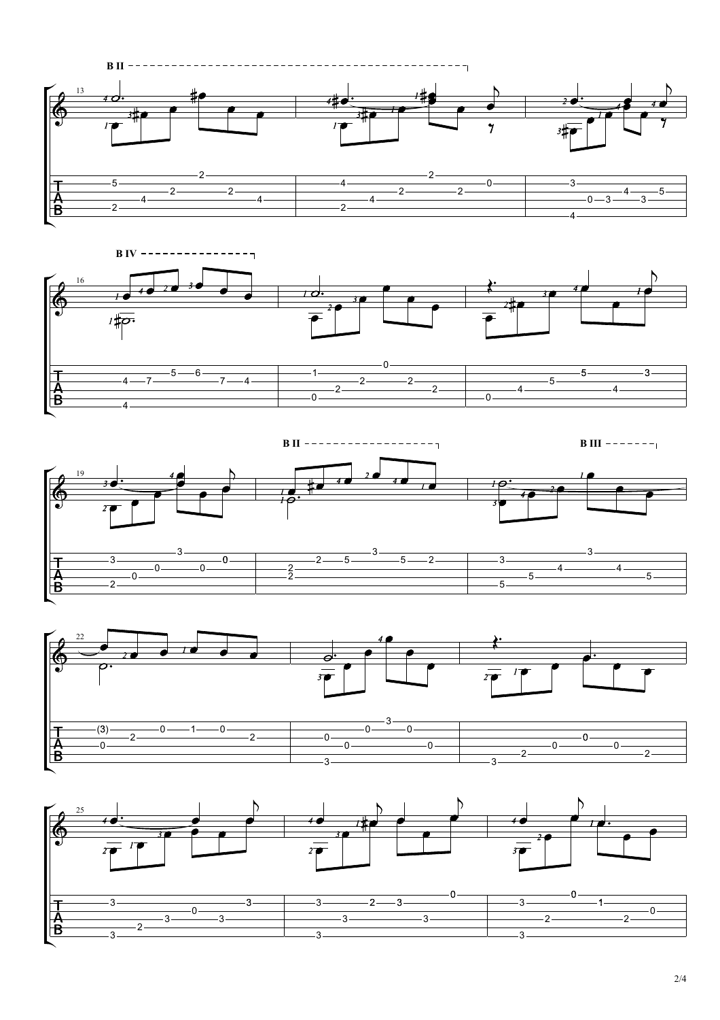







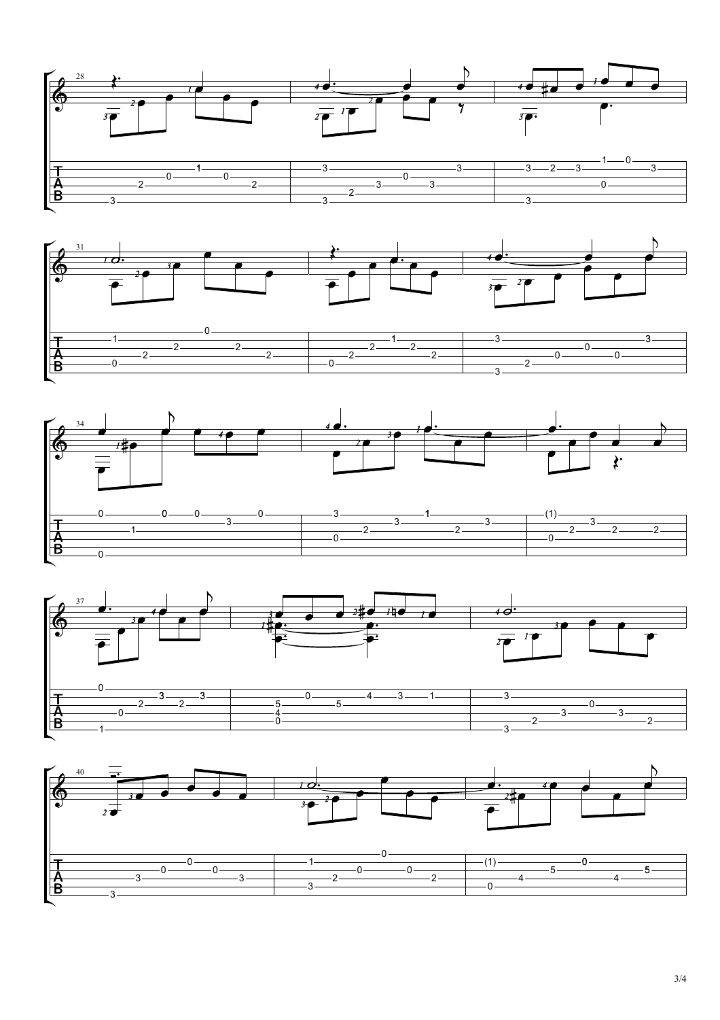